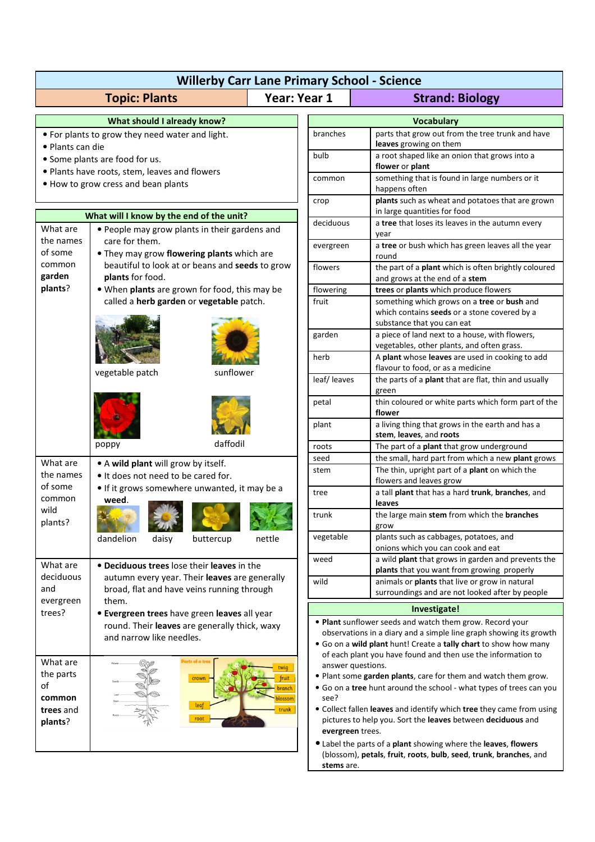| <b>Willerby Carr Lane Primary School - Science</b>                              |                                                                                                                                                                                                                                   |                                |                                                                                                                                                                                                                                                                                                           |                                                                                                                                     |  |
|---------------------------------------------------------------------------------|-----------------------------------------------------------------------------------------------------------------------------------------------------------------------------------------------------------------------------------|--------------------------------|-----------------------------------------------------------------------------------------------------------------------------------------------------------------------------------------------------------------------------------------------------------------------------------------------------------|-------------------------------------------------------------------------------------------------------------------------------------|--|
| <b>Year: Year 1</b><br><b>Topic: Plants</b>                                     |                                                                                                                                                                                                                                   |                                | <b>Strand: Biology</b>                                                                                                                                                                                                                                                                                    |                                                                                                                                     |  |
| What should I already know?<br><b>Vocabulary</b>                                |                                                                                                                                                                                                                                   |                                |                                                                                                                                                                                                                                                                                                           |                                                                                                                                     |  |
| . For plants to grow they need water and light.                                 |                                                                                                                                                                                                                                   |                                | branches                                                                                                                                                                                                                                                                                                  | parts that grow out from the tree trunk and have<br>leaves growing on them                                                          |  |
| • Plants can die                                                                |                                                                                                                                                                                                                                   |                                | bulb                                                                                                                                                                                                                                                                                                      | a root shaped like an onion that grows into a                                                                                       |  |
| • Some plants are food for us.<br>. Plants have roots, stem, leaves and flowers |                                                                                                                                                                                                                                   |                                |                                                                                                                                                                                                                                                                                                           | flower or plant                                                                                                                     |  |
| . How to grow cress and bean plants                                             |                                                                                                                                                                                                                                   |                                | common                                                                                                                                                                                                                                                                                                    | something that is found in large numbers or it                                                                                      |  |
|                                                                                 |                                                                                                                                                                                                                                   |                                | crop                                                                                                                                                                                                                                                                                                      | happens often<br>plants such as wheat and potatoes that are grown                                                                   |  |
| What will I know by the end of the unit?                                        |                                                                                                                                                                                                                                   |                                |                                                                                                                                                                                                                                                                                                           | in large quantities for food                                                                                                        |  |
| What are                                                                        | • People may grow plants in their gardens and                                                                                                                                                                                     |                                | deciduous                                                                                                                                                                                                                                                                                                 | a tree that loses its leaves in the autumn every<br>year                                                                            |  |
| the names<br>of some<br>common<br>garden<br>plants?                             | care for them.<br>. They may grow flowering plants which are                                                                                                                                                                      |                                | evergreen                                                                                                                                                                                                                                                                                                 | a tree or bush which has green leaves all the year<br>round                                                                         |  |
|                                                                                 | beautiful to look at or beans and seeds to grow<br>plants for food.<br>. When plants are grown for food, this may be<br>called a herb garden or vegetable patch.                                                                  |                                | flowers                                                                                                                                                                                                                                                                                                   | the part of a plant which is often brightly coloured<br>and grows at the end of a stem                                              |  |
|                                                                                 |                                                                                                                                                                                                                                   |                                | flowering                                                                                                                                                                                                                                                                                                 | trees or plants which produce flowers                                                                                               |  |
|                                                                                 |                                                                                                                                                                                                                                   |                                | fruit                                                                                                                                                                                                                                                                                                     | something which grows on a tree or bush and<br>which contains seeds or a stone covered by a<br>substance that you can eat           |  |
|                                                                                 |                                                                                                                                                                                                                                   |                                | garden                                                                                                                                                                                                                                                                                                    | a piece of land next to a house, with flowers,<br>vegetables, other plants, and often grass.                                        |  |
|                                                                                 |                                                                                                                                                                                                                                   |                                | herb                                                                                                                                                                                                                                                                                                      | A plant whose leaves are used in cooking to add<br>flavour to food, or as a medicine                                                |  |
|                                                                                 | vegetable patch<br>sunflower                                                                                                                                                                                                      |                                | leaf/leaves                                                                                                                                                                                                                                                                                               | the parts of a plant that are flat, thin and usually<br>green                                                                       |  |
|                                                                                 |                                                                                                                                                                                                                                   |                                | petal                                                                                                                                                                                                                                                                                                     | thin coloured or white parts which form part of the<br>flower                                                                       |  |
|                                                                                 |                                                                                                                                                                                                                                   |                                | plant                                                                                                                                                                                                                                                                                                     | a living thing that grows in the earth and has a<br>stem, leaves, and roots                                                         |  |
|                                                                                 | daffodil<br>poppy                                                                                                                                                                                                                 |                                | roots                                                                                                                                                                                                                                                                                                     | The part of a plant that grow underground                                                                                           |  |
| What are                                                                        | • A wild plant will grow by itself.<br>. It does not need to be cared for.                                                                                                                                                        |                                | seed                                                                                                                                                                                                                                                                                                      | the small, hard part from which a new plant grows                                                                                   |  |
| the names                                                                       |                                                                                                                                                                                                                                   |                                | stem                                                                                                                                                                                                                                                                                                      | The thin, upright part of a plant on which the<br>flowers and leaves grow                                                           |  |
| of some<br>common                                                               | • If it grows somewhere unwanted, it may be a<br>weed.                                                                                                                                                                            |                                | tree                                                                                                                                                                                                                                                                                                      | a tall plant that has a hard trunk, branches, and<br>leaves                                                                         |  |
| wild<br>plants?                                                                 |                                                                                                                                                                                                                                   |                                | trunk                                                                                                                                                                                                                                                                                                     | the large main stem from which the branches<br>grow                                                                                 |  |
|                                                                                 | dandelion<br>daisy<br>buttercup                                                                                                                                                                                                   | nettle                         | vegetable                                                                                                                                                                                                                                                                                                 | plants such as cabbages, potatoes, and<br>onions which you can cook and eat                                                         |  |
| What are<br>deciduous<br>and                                                    | • Deciduous trees lose their leaves in the                                                                                                                                                                                        |                                | weed                                                                                                                                                                                                                                                                                                      | a wild plant that grows in garden and prevents the<br>plants that you want from growing properly                                    |  |
|                                                                                 | autumn every year. Their leaves are generally<br>broad, flat and have veins running through<br>them.<br>• Evergreen trees have green leaves all year<br>round. Their leaves are generally thick, waxy<br>and narrow like needles. |                                | wild                                                                                                                                                                                                                                                                                                      | animals or plants that live or grow in natural<br>surroundings and are not looked after by people                                   |  |
| evergreen<br>trees?                                                             |                                                                                                                                                                                                                                   |                                |                                                                                                                                                                                                                                                                                                           | Investigate!                                                                                                                        |  |
|                                                                                 |                                                                                                                                                                                                                                   |                                | . Plant sunflower seeds and watch them grow. Record your<br>observations in a diary and a simple line graph showing its growth<br>. Go on a wild plant hunt! Create a tally chart to show how many<br>of each plant you have found and then use the information to                                        |                                                                                                                                     |  |
| What are<br>the parts<br>of<br>common<br>trees and                              | arts of a tree<br>twiq<br>fruit<br>crown<br><b>pranch</b><br>olossom<br>leaf<br>trunk<br>root                                                                                                                                     |                                | answer questions.<br>. Plant some garden plants, care for them and watch them grow.<br>• Go on a tree hunt around the school - what types of trees can you<br>see?<br>• Collect fallen leaves and identify which tree they came from using<br>pictures to help you. Sort the leaves between deciduous and |                                                                                                                                     |  |
| plants?                                                                         |                                                                                                                                                                                                                                   | evergreen trees.<br>stems are. |                                                                                                                                                                                                                                                                                                           | • Label the parts of a plant showing where the leaves, flowers<br>(blossom), petals, fruit, roots, bulb, seed, trunk, branches, and |  |